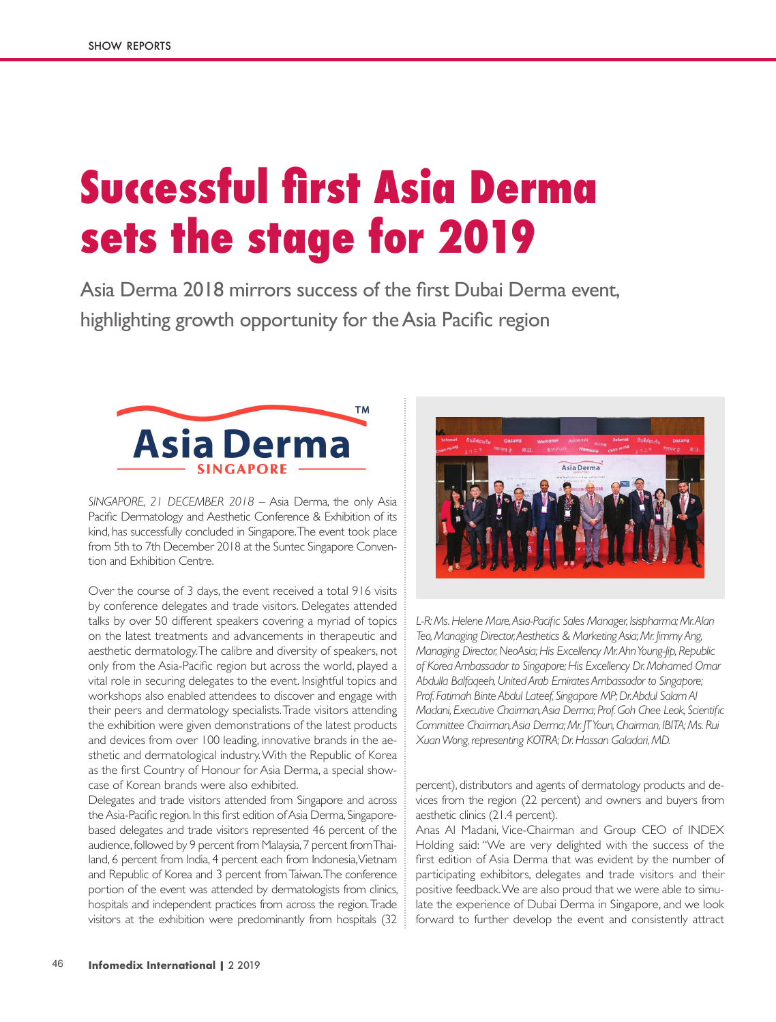## **Successful first Asia Derma sets the stage for 2019**

Asia Derma 2018 mirrors success of the first Dubai Derma event, highlighting growth opportunity for the Asia Pacific region



*SINGAPORE, 21 DECEMBER 2018* – Asia Derma, the only Asia Pacific Dermatology and Aesthetic Conference & Exhibition of its kind, has successfully concluded in Singapore. The event took place from 5th to 7th December 2018 at the Suntec Singapore Convention and Exhibition Centre.

Over the course of 3 days, the event received a total 916 visits by conference delegates and trade visitors. Delegates attended talks by over 50 different speakers covering a myriad of topics on the latest treatments and advancements in therapeutic and aesthetic dermatology. The calibre and diversity of speakers, not only from the Asia-Pacific region but across the world, played a vital role in securing delegates to the event. Insightful topics and workshops also enabled attendees to discover and engage with their peers and dermatology specialists. Trade visitors attending the exhibition were given demonstrations of the latest products and devices from over 100 leading, innovative brands in the aesthetic and dermatological industry. With the Republic of Korea as the first Country of Honour for Asia Derma, a special showcase of Korean brands were also exhibited.

Delegates and trade visitors attended from Singapore and across the Asia-Pacific region. In this first edition of Asia Derma, Singaporebased delegates and trade visitors represented 46 percent of the audience, followed by 9 percent from Malaysia, 7 percent from Thailand, 6 percent from India, 4 percent each from Indonesia, Vietnam and Republic of Korea and 3 percent from Taiwan. The conference portion of the event was attended by dermatologists from clinics, hospitals and independent practices from across the region. Trade visitors at the exhibition were predominantly from hospitals (32



*L-R: Ms. Helene Mare, Asia-Pacific Sales Manager, Isispharma; Mr. Alan Teo, Managing Director, Aesthetics & Marketing Asia; Mr. Jimmy Ang, Managing Director, NeoAsia; His Excellency Mr. Ahn Young-Jip, Republic of Korea Ambassador to Singapore; His Excellency Dr. Mohamed Omar Abdulla Balfaqeeh, United Arab Emirates Ambassador to Singapore; Prof. Fatimah Binte Abdul Lateef, Singapore MP; Dr. Abdul Salam Al Madani, Executive Chairman, Asia Derma; Prof. Goh Chee Leok, Scientific Committee Chairman, Asia Derma; Mr. JT Youn, Chairman, IBITA; Ms. Rui Xuan Wong, representing KOTRA; Dr. Hassan Galadari, MD.* 

percent), distributors and agents of dermatology products and devices from the region (22 percent) and owners and buyers from aesthetic clinics (21.4 percent).

Anas Al Madani, Vice-Chairman and Group CEO of INDEX Holding said: "We are very delighted with the success of the first edition of Asia Derma that was evident by the number of participating exhibitors, delegates and trade visitors and their positive feedback. We are also proud that we were able to simulate the experience of Dubai Derma in Singapore, and we look forward to further develop the event and consistently attract